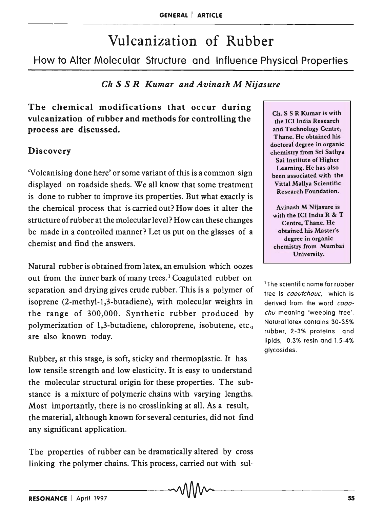# Vulcanization of Rubber

How to Alter Molecular Structure and Influence Physical Properties

# *Ch S S R Kumar and Avinash M Nijasure*

The chemical modifications that occur during vulcanization of rubber and methods for controlling the process are discussed.

## Discovery

'Volcanising done here' or some variant of this is a common sign displayed on roadside sheds. We all know that some treatment is done to rubber to improve its properties. But what exactly is the chemical process that is carried out? How does it alter the structure of rubber at the molecular level? How can these changes be made in a controlled manner? Let us put on the glasses of a chemist and find the answers.

Natural rubber is obtained from latex, an emulsion which oozes out from the inner bark of many trees.<sup>1</sup> Coagulated rubber on separation and drying gives crude rubber. This is a polymer of isoprene (2-methyl-l,3-butadiene), with molecular weights in the range of 300,000. Synthetic rubber produced by polymerization of 1,3-butadiene, chloroprene, isobutene, etc., are also known today.

Rubber, at this stage, is soft, sticky and thermoplastic. It has low tensile strength and low elasticity. It is easy to understand the molecular structural origin for these properties. The substance is a mixture of polymeric chains with varying lengths. Most importantly, there is no crosslinking at all. As a result, the material, although known for several centuries, did not find any significant application.

The properties of rubber can be dramatically altered by cross linking the polymer chains. This process, carried out with sul-

Ch. S S R Kumar is with the ICI India Research and Technology Centre, Thane. He obtained his doctorai degree in organic chemistry from Sri Sathya Sai Institute of Higher Learning. He has also been associated with the Vittal Mallya Scientific Research Foundation.

Avinash M Nijasure is with the ICI India R & T Centre, Thane. He obtained his Master's degree in organic chemistry from Mumbai University.

1 The scientific name for rubber tree is *caoutchouc,* which is derived from the word *caaochu* meaning 'weeping tree'. Natural latex contains 30-35% rubber, 2-3% proteins and lipids. 0.3% resin and 1.5-4% glycosides.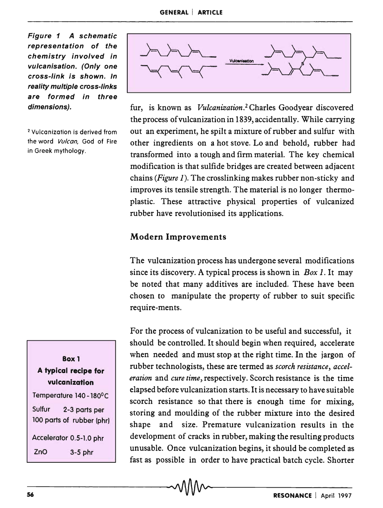Figure 1 A schematic representation of the chemistry involved in vulcanisation. (Only one cross-link is shown. In reality multiple cross-links are formed in three dimensions).

2 Vulcanization is derived from the word Vulcan, God of Fire in Greek mythology.



fur, is known as *Vulcanization. <sup>2</sup>*Charles Goodyear discovered the process of vulcanization in 1839,accidentally. While carrying out an experiment, he spilt a mixture of rubber and sulfur with other ingredients on a hot stove. Lo and behold, rubber had transformed into a tough and firm material. The key chemical modification is that sulfide bridges are created between adjacent chains *(Figure* 1). The crosslinking makes rubber non-sticky and improves its tensile strength. The material is no longer thermoplastic. These attractive physical properties of vulcanized rubber have revolutionised its applications.

## Modern Improvements

The vulcanization process has undergone several modifications since its discovery. A typical process is shown in *Box* 1. It may be noted that many additives are included. These have been chosen to manipulate the property of rubber to suit specific require-ments.

For the process of vulcanization to be useful and successful, it should be controlled. It should begin when required, accelerate when needed and must stop at the right time. In the jargon of rubber technologists, these are termed as *scorch resistance, acceleration* and *cure time,* respectively. Scorch resistance is the time elapsed before vulcanization starts. It is necessary to have suitable scorch resistance so that there is enough time for mixing, storing and moulding of the rubber mixture into the desired shape and size. Premature vulcanization results in the development of cracks in rubber, making the resulting products unusable. Once vulcanization begins, it should be completed as fast as possible in order to have practical batch cycle. Shorter

A typical recipe for vulcanization Temperature 140 -180°C Sulfur 2-3 parts per 100 parts of rubber (phr) Accelerator 0.5-1.0 phr ZnO 3-5 phr

Box 1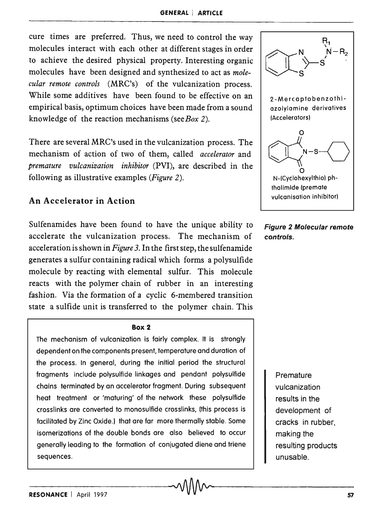cure times are preferred. Thus, we need to control the way molecules interact with each other at different stages in order to achieve the desired physical property. Interesting organic molecules have been designed and synthesized to act as *molecular remote controls* (MRC's) of the vulcanization process. While some additives have been found to be effective on an empirical basis, optimum choices have been made from a sound knowledge of the reaction mechanisms (see *Box* 2).

There are several MRC's used in the vulcanization process. The mechanism of action of two of them, called *accelerator* and *premature vulcanization inhibitor* (PVI), are described in the following as illustrative examples *(Figure 2).* 

## An Accelerator in Action

Sulfenamides have been found to have the unique ability to accelerate the vulcanization process. The mechanism of acceleration is shown in *Figure* 3. In the first step, the sulfenamide generates a sulfur containing radical which forms a polysulfide molecule by reacting with elemental sulfur. This molecule reacts with the polymer chain of rubber in an interesting fashion. Via the formation of a cyclic 6-membered transition state a sulfide unit is transferred to the polymer chain. This

#### Box 2

The mechanism of vulcanization is fairly complex. It is strongly dependent on the components present, temperature and duration of the process. In general, during the initial period the structural fragments include polysulfide linkages and pendant polysulfide chains terminated by an accelerator fragment. During subsequent heat treatment or 'maturing' of the network these polysulfide crosslinks are converted to monosutfide crosslinks, (this process is facilitated by Zinc Oxide.) that are far more thermally stable. Some isomerizations of the double bonds are also believed to occur generally leading to the formation of conjugated diene and triene sequences.



Figure 2 Molecular remote controls.

> **Premature** vulcanization results in the development of cracks in rubber, making the resulting products unusable.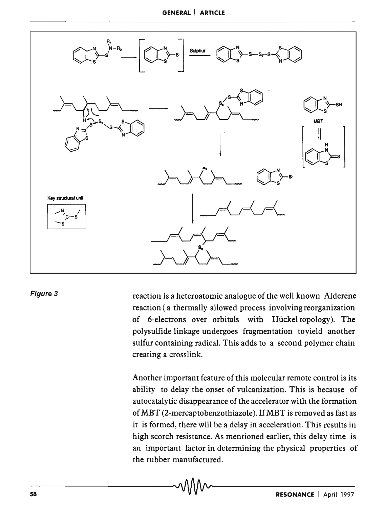

#### Figure 3

reaction is a heteroatomic analogue of the well known Alderene reaction (a thermally allowed process involving reorganization of 6-electrons over orbitals with Huckel topology). The polysulfide linkage undergoes fragmentation toyield another sulfur containing radical. This adds to a second polymer chain creating a crosslink.

Another important feature of this molecular remote control is its ability to delay the onset of vulcanization. This is because of autocatalytic disappearance of the accelerator with the formation of MBT (2-mercaptobenzothiazole). If MBT is removed as fast as it is formed, there will be a delay in acceleration. This results in high scorch resistance. As mentioned earlier, this delay time is an important factor in determining the physical properties of the rubber manufactured.